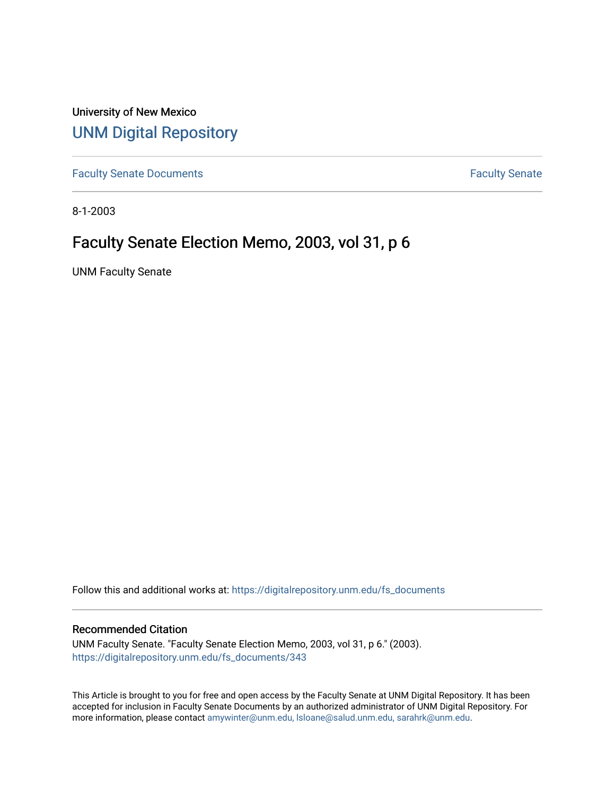University of New Mexico [UNM Digital Repository](https://digitalrepository.unm.edu/) 

[Faculty Senate Documents](https://digitalrepository.unm.edu/fs_documents) **Faculty** Senate **Faculty** Senate

8-1-2003

# Faculty Senate Election Memo, 2003, vol 31, p 6

UNM Faculty Senate

Follow this and additional works at: [https://digitalrepository.unm.edu/fs\\_documents](https://digitalrepository.unm.edu/fs_documents?utm_source=digitalrepository.unm.edu%2Ffs_documents%2F343&utm_medium=PDF&utm_campaign=PDFCoverPages)

#### Recommended Citation

UNM Faculty Senate. "Faculty Senate Election Memo, 2003, vol 31, p 6." (2003). [https://digitalrepository.unm.edu/fs\\_documents/343](https://digitalrepository.unm.edu/fs_documents/343?utm_source=digitalrepository.unm.edu%2Ffs_documents%2F343&utm_medium=PDF&utm_campaign=PDFCoverPages)

This Article is brought to you for free and open access by the Faculty Senate at UNM Digital Repository. It has been accepted for inclusion in Faculty Senate Documents by an authorized administrator of UNM Digital Repository. For more information, please contact [amywinter@unm.edu, lsloane@salud.unm.edu, sarahrk@unm.edu](mailto:amywinter@unm.edu,%20lsloane@salud.unm.edu,%20sarahrk@unm.edu).